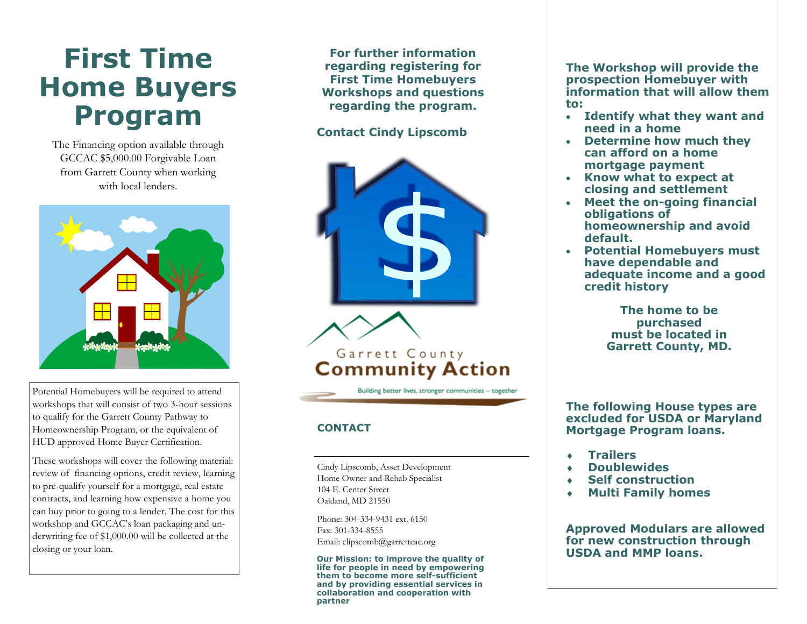## **First Time Home Buyers Program**

The Financing option available through GCCAC \$5,000.00 Forgivable Loan from Garrett County when working with local lenders.



Potential Homebuyers will be required to attend workshops that will consist of two 3 -hour sessions to qualify for the Garrett County Pathway to Homeownership Program, or the equivalent of HUD approved Home Buyer Certification.

These workshops will cover the following material: review of financing options, credit review, learning to pre -qualify yourself for a mortgage, real estate contracts, and learning how expensive a home you can buy prior to going to a lender. The cost for this workshop and GCCAC's loan packaging and underwriting fee of \$1,000.00 will be collected at the closing or your loan.

**For further information regarding registering for First Time Homebuyers Workshops and questions regarding the program.** 

### **Contact Cindy Lipscomb**



#### **CONTACT**

Cindy Lipscomb, Asset Development Home Owner and Rehab Specialist 104 E. Center Street Oakland, MD 21550

Phone: 304-334-9431 ext. 6150 Fax: 301 -334 -8555 Email: clipscomb@garrettcac.org

**Our Mission: to improve the quality of life for people in need by empowering them to become more self -sufficient and by providing essential services in collaboration and cooperation with partner**

**The Workshop will provide the prospection Homebuyer with information that will allow them to:**

- **Identify what they want and need in a home**
- **Determine how much they can afford on a home mortgage payment**
- **Know what to expect at closing and settlement**
- **Meet the on -going financial obligations of homeownership and avoid default.**
- **Potential Homebuyers must have dependable and adequate income and a good credit history**

**The home to be purchased must be located in Garrett County, MD.** 

**The following House types are excluded for USDA or Maryland Mortgage Program loans.**

- **Trailers**
- **Doublewides**
- **Self construction**
- **Multi Family homes**

**Approved Modulars are allowed for new construction through USDA and MMP loans.**